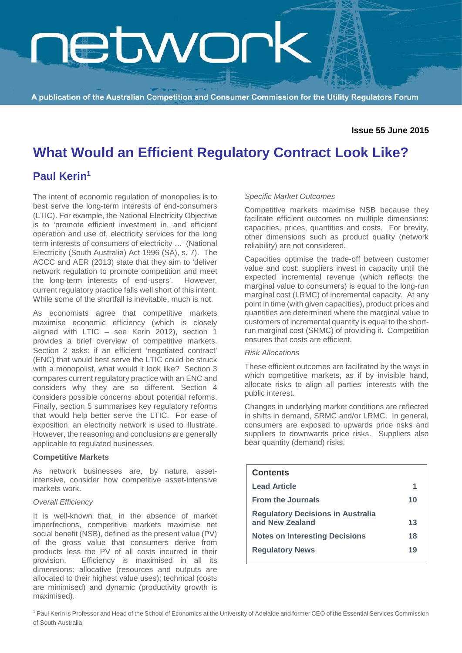# **RELANON**

A publication of the Australian Competition and Consumer Commission for the Utility Regulators Forum

#### **Issue 55 June 2015**

### **What Would an Efficient Regulatory Contract Look Like?**

### **Paul Kerin1**

The intent of economic regulation of monopolies is to best serve the long-term interests of end-consumers (LTIC). For example, the National Electricity Objective is to 'promote efficient investment in, and efficient operation and use of, electricity services for the long term interests of consumers of electricity …' (National Electricity (South Australia) Act 1996 (SA), s. 7). The ACCC and AER (2013) state that they aim to 'deliver network regulation to promote competition and meet the long-term interests of end-users'. However, current regulatory practice falls well short of this intent. While some of the shortfall is inevitable, much is not.

As economists agree that competitive markets maximise economic efficiency (which is closely aligned with LTIC – see Kerin 2012), section 1 provides a brief overview of competitive markets. Section 2 asks: if an efficient 'negotiated contract' (ENC) that would best serve the LTIC could be struck with a monopolist, what would it look like? Section 3 compares current regulatory practice with an ENC and considers why they are so different. Section 4 considers possible concerns about potential reforms. Finally, section 5 summarises key regulatory reforms that would help better serve the LTIC. For ease of exposition, an electricity network is used to illustrate. However, the reasoning and conclusions are generally applicable to regulated businesses.

#### **Competitive Markets**

As network businesses are, by nature, assetintensive, consider how competitive asset-intensive markets work.

#### *Overall Efficiency*

It is well-known that, in the absence of market imperfections, competitive markets maximise net social benefit (NSB), defined as the present value (PV) of the gross value that consumers derive from products less the PV of all costs incurred in their provision. Efficiency is maximised in all its dimensions: allocative (resources and outputs are allocated to their highest value uses); technical (costs are minimised) and dynamic (productivity growth is maximised).

#### *Specific Market Outcomes*

Competitive markets maximise NSB because they facilitate efficient outcomes on multiple dimensions: capacities, prices, quantities and costs. For brevity, other dimensions such as product quality (network reliability) are not considered.

Capacities optimise the trade-off between customer value and cost: suppliers invest in capacity until the expected incremental revenue (which reflects the marginal value to consumers) is equal to the long-run marginal cost (LRMC) of incremental capacity. At any point in time (with given capacities), product prices and quantities are determined where the marginal value to customers of incremental quantity is equal to the shortrun marginal cost (SRMC) of providing it. Competition ensures that costs are efficient.

#### *Risk Allocations*

These efficient outcomes are facilitated by the ways in which competitive markets, as if by invisible hand, allocate risks to align all parties' interests with the public interest.

Changes in underlying market conditions are reflected in shifts in demand, SRMC and/or LRMC. In general, consumers are exposed to upwards price risks and suppliers to downwards price risks. Suppliers also bear quantity (demand) risks.

| <b>Contents</b>                                             |    |
|-------------------------------------------------------------|----|
| <b>Lead Article</b>                                         | 1  |
| <b>From the Journals</b>                                    | 10 |
| <b>Regulatory Decisions in Australia</b><br>and New Zealand | 13 |
| <b>Notes on Interesting Decisions</b>                       | 18 |
| <b>Regulatory News</b>                                      | 19 |

<sup>1</sup> Paul Kerin is Professor and Head of the School of Economics at the University of Adelaide and former CEO of the Essential Services Commission of South Australia.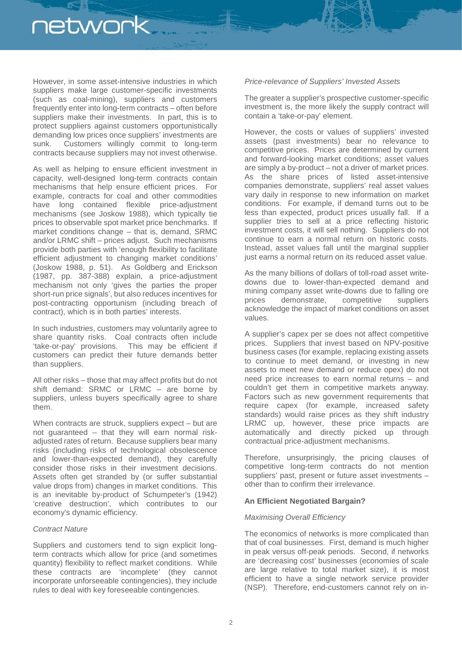However, in some asset-intensive industries in which suppliers make large customer-specific investments (such as coal-mining), suppliers and customers frequently enter into long-term contracts – often before suppliers make their investments. In part, this is to protect suppliers against customers opportunistically demanding low prices once suppliers' investments are sunk. Customers willingly commit to long-term contracts because suppliers may not invest otherwise.

As well as helping to ensure efficient investment in capacity, well-designed long-term contracts contain mechanisms that help ensure efficient prices. For example, contracts for coal and other commodities have long contained flexible price-adjustment mechanisms (see Joskow 1988), which typically tie prices to observable spot market price benchmarks. If market conditions change – that is, demand, SRMC and/or LRMC shift – prices adjust. Such mechanisms provide both parties with 'enough flexibility to facilitate efficient adjustment to changing market conditions' (Joskow 1988, p. 51). As Goldberg and Erickson (1987, pp. 387-388) explain, a price-adjustment mechanism not only 'gives the parties the proper short-run price signals', but also reduces incentives for post-contracting opportunism (including breach of contract), which is in both parties' interests.

In such industries, customers may voluntarily agree to share quantity risks. Coal contracts often include 'take-or-pay' provisions. This may be efficient if customers can predict their future demands better than suppliers.

All other risks – those that may affect profits but do not shift demand: SRMC or LRMC – are borne by suppliers, unless buyers specifically agree to share them.

When contracts are struck, suppliers expect – but are not guaranteed – that they will earn normal riskadjusted rates of return. Because suppliers bear many risks (including risks of technological obsolescence and lower-than-expected demand), they carefully consider those risks in their investment decisions. Assets often get stranded by (or suffer substantial value drops from) changes in market conditions. This is an inevitable by-product of Schumpeter's (1942) 'creative destruction', which contributes to our economy's dynamic efficiency.

#### *Contract Nature*

Suppliers and customers tend to sign explicit longterm contracts which allow for price (and sometimes quantity) flexibility to reflect market conditions. While these contracts are 'incomplete' (they cannot incorporate unforseeable contingencies), they include rules to deal with key foreseeable contingencies.

#### *Price-relevance of Suppliers' Invested Assets*

The greater a supplier's prospective customer-specific investment is, the more likely the supply contract will contain a 'take-or-pay' element.

However, the costs or values of suppliers' invested assets (past investments) bear no relevance to competitive prices. Prices are determined by current and forward-looking market conditions; asset values are simply a by-product – not a driver of market prices. As the share prices of listed asset-intensive companies demonstrate, suppliers' real asset values vary daily in response to new information on market conditions. For example, if demand turns out to be less than expected, product prices usually fall. If a supplier tries to sell at a price reflecting historic investment costs, it will sell nothing. Suppliers do not continue to earn a normal return on historic costs. Instead, asset values fall until the marginal supplier just earns a normal return on its reduced asset value.

As the many billions of dollars of toll-road asset writedowns due to lower-than-expected demand and mining company asset write-downs due to falling ore prices demonstrate, competitive suppliers acknowledge the impact of market conditions on asset values.

A supplier's capex per se does not affect competitive prices. Suppliers that invest based on NPV-positive business cases (for example, replacing existing assets to continue to meet demand, or investing in new assets to meet new demand or reduce opex) do not need price increases to earn normal returns – and couldn't get them in competitive markets anyway. Factors such as new government requirements that require capex (for example, increased safety standards) would raise prices as they shift industry LRMC up, however, these price impacts are automatically and directly picked up through contractual price-adjustment mechanisms.

Therefore, unsurprisingly, the pricing clauses of competitive long-term contracts do not mention suppliers' past, present or future asset investments – other than to confirm their irrelevance.

#### **An Efficient Negotiated Bargain?**

#### *Maximising Overall Efficiency*

The economics of networks is more complicated than that of coal businesses. First, demand is much higher in peak versus off-peak periods. Second, if networks are 'decreasing cost' businesses (economies of scale are large relative to total market size), it is most efficient to have a single network service provider (NSP). Therefore, end-customers cannot rely on in-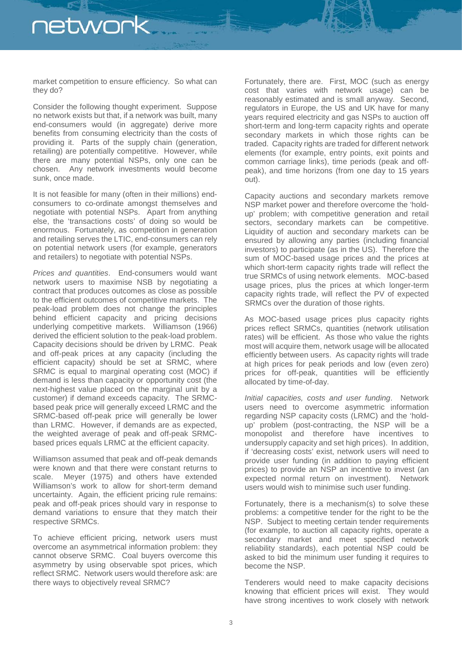market competition to ensure efficiency. So what can they do?

Consider the following thought experiment. Suppose no network exists but that, if a network was built, many end-consumers would (in aggregate) derive more benefits from consuming electricity than the costs of providing it. Parts of the supply chain (generation, retailing) are potentially competitive. However, while there are many potential NSPs, only one can be chosen. Any network investments would become sunk, once made.

It is not feasible for many (often in their millions) endconsumers to co-ordinate amongst themselves and negotiate with potential NSPs. Apart from anything else, the 'transactions costs' of doing so would be enormous. Fortunately, as competition in generation and retailing serves the LTIC, end-consumers can rely on potential network users (for example, generators and retailers) to negotiate with potential NSPs.

*Prices and quantities*. End-consumers would want network users to maximise NSB by negotiating a contract that produces outcomes as close as possible to the efficient outcomes of competitive markets. The peak-load problem does not change the principles behind efficient capacity and pricing decisions underlying competitive markets. Williamson (1966) derived the efficient solution to the peak-load problem. Capacity decisions should be driven by LRMC. Peak and off-peak prices at any capacity (including the efficient capacity) should be set at SRMC, where SRMC is equal to marginal operating cost (MOC) if demand is less than capacity or opportunity cost (the next-highest value placed on the marginal unit by a customer) if demand exceeds capacity. The SRMCbased peak price will generally exceed LRMC and the SRMC-based off-peak price will generally be lower than LRMC. However, if demands are as expected, the weighted average of peak and off-peak SRMCbased prices equals LRMC at the efficient capacity.

Williamson assumed that peak and off-peak demands were known and that there were constant returns to scale. Meyer (1975) and others have extended Williamson's work to allow for short-term demand uncertainty. Again, the efficient pricing rule remains: peak and off-peak prices should vary in response to demand variations to ensure that they match their respective SRMCs.

To achieve efficient pricing, network users must overcome an asymmetrical information problem: they cannot observe SRMC. Coal buyers overcome this asymmetry by using observable spot prices, which reflect SRMC. Network users would therefore ask: are there ways to objectively reveal SRMC?

Fortunately, there are. First, MOC (such as energy cost that varies with network usage) can be reasonably estimated and is small anyway. Second, regulators in Europe, the US and UK have for many years required electricity and gas NSPs to auction off short-term and long-term capacity rights and operate secondary markets in which those rights can be traded. Capacity rights are traded for different network elements (for example, entry points, exit points and common carriage links), time periods (peak and offpeak), and time horizons (from one day to 15 years out).

Capacity auctions and secondary markets remove NSP market power and therefore overcome the 'holdup' problem; with competitive generation and retail sectors, secondary markets can be competitive. Liquidity of auction and secondary markets can be ensured by allowing any parties (including financial investors) to participate (as in the US). Therefore the sum of MOC-based usage prices and the prices at which short-term capacity rights trade will reflect the true SRMCs of using network elements. MOC-based usage prices, plus the prices at which longer-term capacity rights trade, will reflect the PV of expected SRMCs over the duration of those rights.

As MOC-based usage prices plus capacity rights prices reflect SRMCs, quantities (network utilisation rates) will be efficient. As those who value the rights most will acquire them, network usage will be allocated efficiently between users. As capacity rights will trade at high prices for peak periods and low (even zero) prices for off-peak, quantities will be efficiently allocated by time-of-day.

*Initial capacities, costs and user funding*. Network users need to overcome asymmetric information regarding NSP capacity costs (LRMC) and the 'holdup' problem (post-contracting, the NSP will be a monopolist and therefore have incentives to undersupply capacity and set high prices). In addition, if 'decreasing costs' exist, network users will need to provide user funding (in addition to paying efficient prices) to provide an NSP an incentive to invest (an expected normal return on investment). Network users would wish to minimise such user funding.

Fortunately, there is a mechanism(s) to solve these problems: a competitive tender for the right to be the NSP. Subject to meeting certain tender requirements (for example, to auction all capacity rights, operate a secondary market and meet specified network reliability standards), each potential NSP could be asked to bid the minimum user funding it requires to become the NSP.

Tenderers would need to make capacity decisions knowing that efficient prices will exist. They would have strong incentives to work closely with network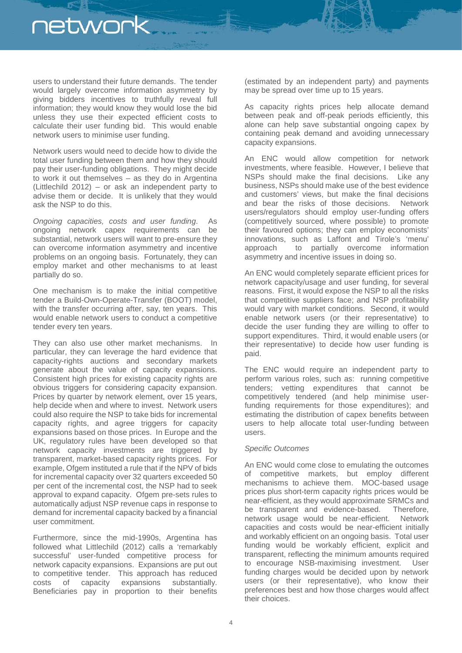users to understand their future demands. The tender would largely overcome information asymmetry by giving bidders incentives to truthfully reveal full information; they would know they would lose the bid unless they use their expected efficient costs to calculate their user funding bid. This would enable network users to minimise user funding.

Network users would need to decide how to divide the total user funding between them and how they should pay their user-funding obligations. They might decide to work it out themselves – as they do in Argentina (Littlechild 2012) – or ask an independent party to advise them or decide. It is unlikely that they would ask the NSP to do this.

*Ongoing capacities, costs and user funding*. As ongoing network capex requirements can be substantial, network users will want to pre-ensure they can overcome information asymmetry and incentive problems on an ongoing basis. Fortunately, they can employ market and other mechanisms to at least partially do so.

One mechanism is to make the initial competitive tender a Build-Own-Operate-Transfer (BOOT) model, with the transfer occurring after, say, ten years. This would enable network users to conduct a competitive tender every ten years.

They can also use other market mechanisms. In particular, they can leverage the hard evidence that capacity-rights auctions and secondary markets generate about the value of capacity expansions. Consistent high prices for existing capacity rights are obvious triggers for considering capacity expansion. Prices by quarter by network element, over 15 years, help decide when and where to invest. Network users could also require the NSP to take bids for incremental capacity rights, and agree triggers for capacity expansions based on those prices. In Europe and the UK, regulatory rules have been developed so that network capacity investments are triggered by transparent, market-based capacity rights prices. For example, Ofgem instituted a rule that if the NPV of bids for incremental capacity over 32 quarters exceeded 50 per cent of the incremental cost, the NSP had to seek approval to expand capacity. Ofgem pre-sets rules to automatically adjust NSP revenue caps in response to demand for incremental capacity backed by a financial user commitment.

Furthermore, since the mid-1990s, Argentina has followed what Littlechild (2012) calls a 'remarkably successful' user-funded competitive process for network capacity expansions. Expansions are put out to competitive tender. This approach has reduced costs of capacity expansions substantially. Beneficiaries pay in proportion to their benefits (estimated by an independent party) and payments may be spread over time up to 15 years.

As capacity rights prices help allocate demand between peak and off-peak periods efficiently, this alone can help save substantial ongoing capex by containing peak demand and avoiding unnecessary capacity expansions.

An ENC would allow competition for network investments, where feasible. However, I believe that NSPs should make the final decisions. Like any business, NSPs should make use of the best evidence and customers' views, but make the final decisions and bear the risks of those decisions. Network users/regulators should employ user-funding offers (competitively sourced, where possible) to promote their favoured options; they can employ economists' innovations, such as Laffont and Tirole's 'menu' approach to partially overcome information asymmetry and incentive issues in doing so.

An ENC would completely separate efficient prices for network capacity/usage and user funding, for several reasons. First, it would expose the NSP to all the risks that competitive suppliers face; and NSP profitability would vary with market conditions. Second, it would enable network users (or their representative) to decide the user funding they are willing to offer to support expenditures. Third, it would enable users (or their representative) to decide how user funding is paid.

The ENC would require an independent party to perform various roles, such as: running competitive tenders; vetting expenditures that cannot be competitively tendered (and help minimise userfunding requirements for those expenditures); and estimating the distribution of capex benefits between users to help allocate total user-funding between users.

#### *Specific Outcomes*

An ENC would come close to emulating the outcomes of competitive markets, but employ different mechanisms to achieve them. MOC-based usage prices plus short-term capacity rights prices would be near-efficient, as they would approximate SRMCs and<br>be transparent and evidence-based. Therefore. be transparent and evidence-based. network usage would be near-efficient. Network capacities and costs would be near-efficient initially and workably efficient on an ongoing basis. Total user funding would be workably efficient, explicit and transparent, reflecting the minimum amounts required<br>to encourage NSB-maximising investment. User to encourage NSB-maximising investment. funding charges would be decided upon by network users (or their representative), who know their preferences best and how those charges would affect their choices.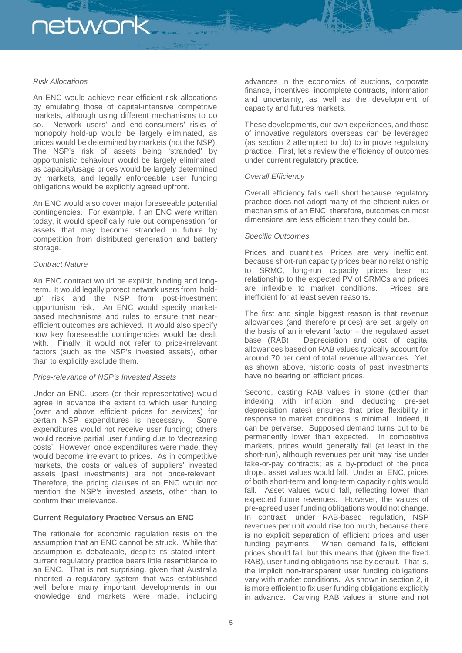#### *Risk Allocations*

An ENC would achieve near-efficient risk allocations by emulating those of capital-intensive competitive markets, although using different mechanisms to do so. Network users' and end-consumers' risks of monopoly hold-up would be largely eliminated, as prices would be determined by markets (not the NSP). The NSP's risk of assets being 'stranded' by opportunistic behaviour would be largely eliminated, as capacity/usage prices would be largely determined by markets, and legally enforceable user funding obligations would be explicitly agreed upfront.

An ENC would also cover major foreseeable potential contingencies. For example, if an ENC were written today, it would specifically rule out compensation for assets that may become stranded in future by competition from distributed generation and battery storage.

#### *Contract Nature*

An ENC contract would be explicit, binding and longterm. It would legally protect network users from 'holdup' risk and the NSP from post-investment opportunism risk. An ENC would specify marketbased mechanisms and rules to ensure that nearefficient outcomes are achieved. It would also specify how key foreseeable contingencies would be dealt with. Finally, it would not refer to price-irrelevant factors (such as the NSP's invested assets), other than to explicitly exclude them.

#### *Price-relevance of NSP's Invested Assets*

Under an ENC, users (or their representative) would agree in advance the extent to which user funding (over and above efficient prices for services) for certain NSP expenditures is necessary. Some expenditures would not receive user funding; others would receive partial user funding due to 'decreasing costs'. However, once expenditures were made, they would become irrelevant to prices. As in competitive markets, the costs or values of suppliers' invested assets (past investments) are not price-relevant. Therefore, the pricing clauses of an ENC would not mention the NSP's invested assets, other than to confirm their irrelevance.

#### **Current Regulatory Practice Versus an ENC**

The rationale for economic regulation rests on the assumption that an ENC cannot be struck. While that assumption is debateable, despite its stated intent, current regulatory practice bears little resemblance to an ENC. That is not surprising, given that Australia inherited a regulatory system that was established well before many important developments in our knowledge and markets were made, including

advances in the economics of auctions, corporate finance, incentives, incomplete contracts, information and uncertainty, as well as the development of capacity and futures markets.

These developments, our own experiences, and those of innovative regulators overseas can be leveraged (as section 2 attempted to do) to improve regulatory practice. First, let's review the efficiency of outcomes under current regulatory practice.

#### *Overall Efficiency*

Overall efficiency falls well short because regulatory practice does not adopt many of the efficient rules or mechanisms of an ENC; therefore, outcomes on most dimensions are less efficient than they could be.

#### *Specific Outcomes*

Prices and quantities: Prices are very inefficient, because short-run capacity prices bear no relationship to SRMC, long-run capacity prices bear no relationship to the expected PV of SRMCs and prices are inflexible to market conditions. Prices are inefficient for at least seven reasons.

The first and single biggest reason is that revenue allowances (and therefore prices) are set largely on the basis of an irrelevant factor – the regulated asset base (RAB). Depreciation and cost of capital allowances based on RAB values typically account for around 70 per cent of total revenue allowances. Yet, as shown above, historic costs of past investments have no bearing on efficient prices.

Second, casting RAB values in stone (other than indexing with inflation and deducting pre-set depreciation rates) ensures that price flexibility in response to market conditions is minimal. Indeed, it can be perverse. Supposed demand turns out to be permanently lower than expected. In competitive markets, prices would generally fall (at least in the short-run), although revenues per unit may rise under take-or-pay contracts; as a by-product of the price drops, asset values would fall. Under an ENC, prices of both short-term and long-term capacity rights would fall. Asset values would fall, reflecting lower than expected future revenues. However, the values of pre-agreed user funding obligations would not change. In contrast, under RAB-based regulation, NSP revenues per unit would rise too much, because there is no explicit separation of efficient prices and user funding payments. When demand falls, efficient prices should fall, but this means that (given the fixed RAB), user funding obligations rise by default. That is, the implicit non-transparent user funding obligations vary with market conditions. As shown in section 2, it is more efficient to fix user funding obligations explicitly in advance. Carving RAB values in stone and not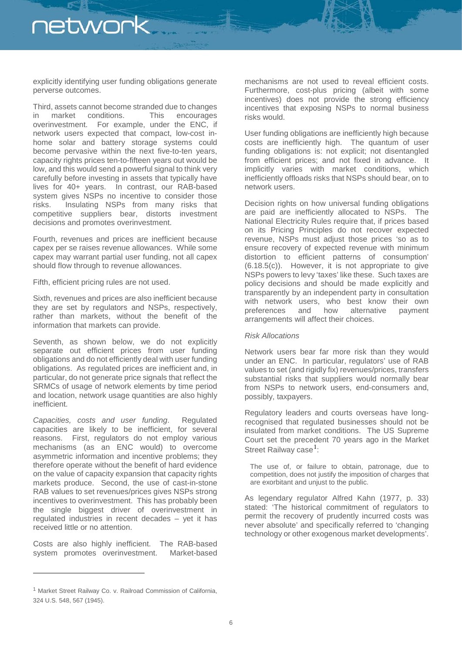explicitly identifying user funding obligations generate perverse outcomes.

Third, assets cannot become stranded due to changes in market conditions. This encourages overinvestment. For example, under the ENC, if network users expected that compact, low-cost inhome solar and battery storage systems could become pervasive within the next five-to-ten years, capacity rights prices ten-to-fifteen years out would be low, and this would send a powerful signal to think very carefully before investing in assets that typically have lives for 40+ years. In contrast, our RAB-based system gives NSPs no incentive to consider those risks. Insulating NSPs from many risks that competitive suppliers bear, distorts investment decisions and promotes overinvestment.

Fourth, revenues and prices are inefficient because capex per se raises revenue allowances. While some capex may warrant partial user funding, not all capex should flow through to revenue allowances.

Fifth, efficient pricing rules are not used.

Sixth, revenues and prices are also inefficient because they are set by regulators and NSPs, respectively, rather than markets, without the benefit of the information that markets can provide.

Seventh, as shown below, we do not explicitly separate out efficient prices from user funding obligations and do not efficiently deal with user funding obligations. As regulated prices are inefficient and, in particular, do not generate price signals that reflect the SRMCs of usage of network elements by time period and location, network usage quantities are also highly inefficient.

*Capacities, costs and user funding*. Regulated capacities are likely to be inefficient, for several reasons. First, regulators do not employ various mechanisms (as an ENC would) to overcome asymmetric information and incentive problems; they therefore operate without the benefit of hard evidence on the value of capacity expansion that capacity rights markets produce. Second, the use of cast-in-stone RAB values to set revenues/prices gives NSPs strong incentives to overinvestment. This has probably been the single biggest driver of overinvestment in regulated industries in recent decades – yet it has received little or no attention.

Costs are also highly inefficient. The RAB-based system promotes overinvestment. Market-based

<span id="page-5-0"></span><sup>1</sup> Market Street Railway Co. v. Railroad Commission of California, 324 U.S. 548, 567 (1945).

-

mechanisms are not used to reveal efficient costs. Furthermore, cost-plus pricing (albeit with some incentives) does not provide the strong efficiency incentives that exposing NSPs to normal business risks would.

User funding obligations are inefficiently high because costs are inefficiently high. The quantum of user funding obligations is: not explicit; not disentangled from efficient prices; and not fixed in advance. It implicitly varies with market conditions, which inefficiently offloads risks that NSPs should bear, on to network users.

Decision rights on how universal funding obligations are paid are inefficiently allocated to NSPs. The National Electricity Rules require that, if prices based on its Pricing Principles do not recover expected revenue, NSPs must adjust those prices 'so as to ensure recovery of expected revenue with minimum distortion to efficient patterns of consumption' (6.18.5(c)). However, it is not appropriate to give NSPs powers to levy 'taxes' like these. Such taxes are policy decisions and should be made explicitly and transparently by an independent party in consultation with network users, who best know their own preferences and how alternative payment arrangements will affect their choices.

#### *Risk Allocations*

Network users bear far more risk than they would under an ENC. In particular, regulators' use of RAB values to set (and rigidly fix) revenues/prices, transfers substantial risks that suppliers would normally bear from NSPs to network users, end-consumers and, possibly, taxpayers.

Regulatory leaders and courts overseas have longrecognised that regulated businesses should not be insulated from market conditions. The US Supreme Court set the precedent 70 years ago in the Market Street Railway case<sup>[1](#page-5-0)</sup>:

The use of, or failure to obtain, patronage, due to competition, does not justify the imposition of charges that are exorbitant and unjust to the public.

As legendary regulator Alfred Kahn (1977, p. 33) stated: 'The historical commitment of regulators to permit the recovery of prudently incurred costs was never absolute' and specifically referred to 'changing technology or other exogenous market developments'.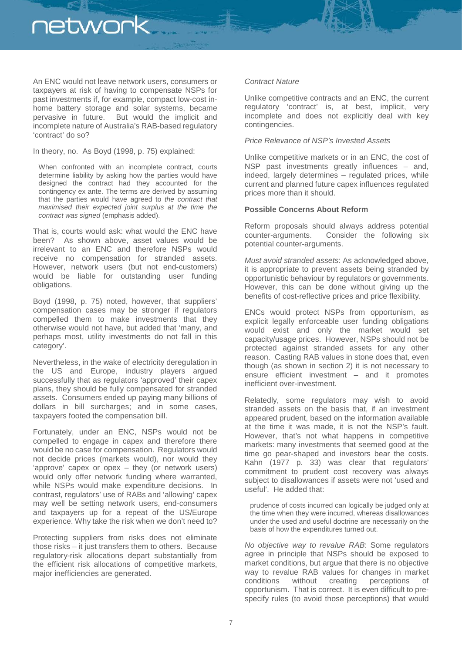An ENC would not leave network users, consumers or taxpayers at risk of having to compensate NSPs for past investments if, for example, compact low-cost inhome battery storage and solar systems, became pervasive in future. But would the implicit and incomplete nature of Australia's RAB-based regulatory 'contract' do so?

In theory, no. As Boyd (1998, p. 75) explained:

When confronted with an incomplete contract, courts determine liability by asking how the parties would have designed the contract had they accounted for the contingency ex ante. The terms are derived by assuming that the parties would have agreed to *the contract that maximised their expected joint surplus at the time the contract was signed* (emphasis added).

That is, courts would ask: what would the ENC have been? As shown above, asset values would be irrelevant to an ENC and therefore NSPs would receive no compensation for stranded assets. However, network users (but not end-customers) would be liable for outstanding user funding obligations.

Boyd (1998, p. 75) noted, however, that suppliers' compensation cases may be stronger if regulators compelled them to make investments that they otherwise would not have, but added that 'many, and perhaps most, utility investments do not fall in this category'.

Nevertheless, in the wake of electricity deregulation in the US and Europe, industry players argued successfully that as regulators 'approved' their capex plans, they should be fully compensated for stranded assets. Consumers ended up paying many billions of dollars in bill surcharges; and in some cases, taxpayers footed the compensation bill.

Fortunately, under an ENC, NSPs would not be compelled to engage in capex and therefore there would be no case for compensation. Regulators would not decide prices (markets would), nor would they 'approve' capex or opex – they (or network users) would only offer network funding where warranted, while NSPs would make expenditure decisions. In contrast, regulators' use of RABs and 'allowing' capex may well be setting network users, end-consumers and taxpayers up for a repeat of the US/Europe experience. Why take the risk when we don't need to?

Protecting suppliers from risks does not eliminate those risks – it just transfers them to others. Because regulatory-risk allocations depart substantially from the efficient risk allocations of competitive markets, major inefficiencies are generated.

#### *Contract Nature*

Unlike competitive contracts and an ENC, the current regulatory 'contract' is, at best, implicit, very incomplete and does not explicitly deal with key contingencies.

#### *Price Relevance of NSP's Invested Assets*

Unlike competitive markets or in an ENC, the cost of NSP past investments greatly influences – and, indeed, largely determines – regulated prices, while current and planned future capex influences regulated prices more than it should.

#### **Possible Concerns About Reform**

Reform proposals should always address potential counter-arguments. Consider the following six potential counter-arguments.

*Must avoid stranded assets*: As acknowledged above, it is appropriate to prevent assets being stranded by opportunistic behaviour by regulators or governments. However, this can be done without giving up the benefits of cost-reflective prices and price flexibility.

ENCs would protect NSPs from opportunism, as explicit legally enforceable user funding obligations would exist and only the market would set capacity/usage prices. However, NSPs should not be protected against stranded assets for any other reason. Casting RAB values in stone does that, even though (as shown in section 2) it is not necessary to ensure efficient investment – and it promotes inefficient over-investment.

Relatedly, some regulators may wish to avoid stranded assets on the basis that, if an investment appeared prudent, based on the information available at the time it was made, it is not the NSP's fault. However, that's not what happens in competitive markets: many investments that seemed good at the time go pear-shaped and investors bear the costs. Kahn (1977 p. 33) was clear that regulators' commitment to prudent cost recovery was always subject to disallowances if assets were not 'used and useful'. He added that:

prudence of costs incurred can logically be judged only at the time when they were incurred, whereas disallowances under the used and useful doctrine are necessarily on the basis of how the expenditures turned out.

*No objective way to revalue RAB*: Some regulators agree in principle that NSPs should be exposed to market conditions, but argue that there is no objective way to revalue RAB values for changes in market conditions without creating perceptions of opportunism. That is correct. It is even difficult to prespecify rules (to avoid those perceptions) that would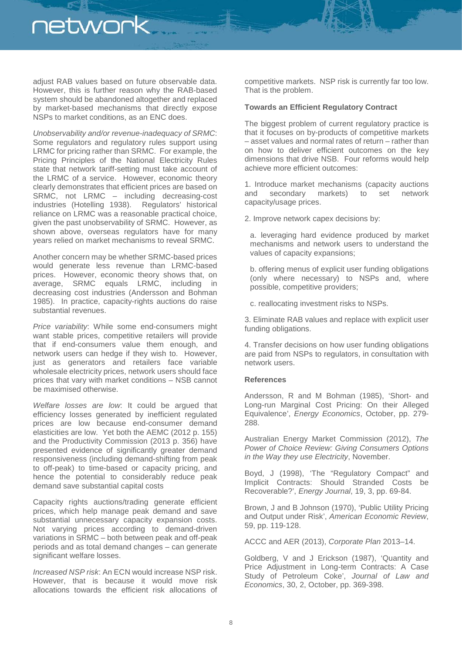adjust RAB values based on future observable data. However, this is further reason why the RAB-based system should be abandoned altogether and replaced by market-based mechanisms that directly expose NSPs to market conditions, as an ENC does.

*Unobservability and/or revenue-inadequacy of SRMC*: Some regulators and regulatory rules support using LRMC for pricing rather than SRMC. For example, the Pricing Principles of the National Electricity Rules state that network tariff-setting must take account of the LRMC of a service. However, economic theory clearly demonstrates that efficient prices are based on SRMC, not LRMC – including decreasing-cost industries (Hotelling 1938). Regulators' historical reliance on LRMC was a reasonable practical choice, given the past unobservability of SRMC. However, as shown above, overseas regulators have for many years relied on market mechanisms to reveal SRMC.

Another concern may be whether SRMC-based prices would generate less revenue than LRMC-based prices. However, economic theory shows that, on average, SRMC equals LRMC, including in decreasing cost industries (Andersson and Bohman 1985). In practice, capacity-rights auctions do raise substantial revenues.

*Price variability*: While some end-consumers might want stable prices, competitive retailers will provide that if end-consumers value them enough, and network users can hedge if they wish to. However, just as generators and retailers face variable wholesale electricity prices, network users should face prices that vary with market conditions – NSB cannot be maximised otherwise.

*Welfare losses are low*: It could be argued that efficiency losses generated by inefficient regulated prices are low because end-consumer demand elasticities are low. Yet both the AEMC (2012 p. 155) and the Productivity Commission (2013 p. 356) have presented evidence of significantly greater demand responsiveness (including demand-shifting from peak to off-peak) to time-based or capacity pricing, and hence the potential to considerably reduce peak demand save substantial capital costs

Capacity rights auctions/trading generate efficient prices, which help manage peak demand and save substantial unnecessary capacity expansion costs. Not varying prices according to demand-driven variations in SRMC – both between peak and off-peak periods and as total demand changes – can generate significant welfare losses.

*Increased NSP risk*: An ECN would increase NSP risk. However, that is because it would move risk allocations towards the efficient risk allocations of

competitive markets. NSP risk is currently far too low. That is the problem.

#### **Towards an Efficient Regulatory Contract**

The biggest problem of current regulatory practice is that it focuses on by-products of competitive markets – asset values and normal rates of return – rather than on how to deliver efficient outcomes on the key dimensions that drive NSB. Four reforms would help achieve more efficient outcomes:

1. Introduce market mechanisms (capacity auctions<br>and secondary markets) to set network and secondary markets) to set network capacity/usage prices.

2. Improve network capex decisions by:

a. leveraging hard evidence produced by market mechanisms and network users to understand the values of capacity expansions;

b. offering menus of explicit user funding obligations (only where necessary) to NSPs and, where possible, competitive providers;

c. reallocating investment risks to NSPs.

3. Eliminate RAB values and replace with explicit user funding obligations.

4. Transfer decisions on how user funding obligations are paid from NSPs to regulators, in consultation with network users.

#### **References**

Andersson, R and M Bohman (1985), 'Short- and Long-run Marginal Cost Pricing: On their Alleged Equivalence', *Energy Economics*, October, pp. 279- 288.

Australian Energy Market Commission (2012), *The Power of Choice Review: Giving Consumers Options in the Way they use Electricity*, November.

Boyd, J (1998), 'The "Regulatory Compact" and Implicit Contracts: Should Stranded Costs be Recoverable?', *Energy Journal*, 19, 3, pp. 69-84.

Brown, J and B Johnson (1970), 'Public Utility Pricing and Output under Risk', *American Economic Review*, 59, pp. 119-128.

ACCC and AER (2013), *Corporate Plan* 2013–14.

Goldberg, V and J Erickson (1987), 'Quantity and Price Adjustment in Long-term Contracts: A Case Study of Petroleum Coke', *Journal of Law and Economics*, 30, 2, October, pp. 369-398.